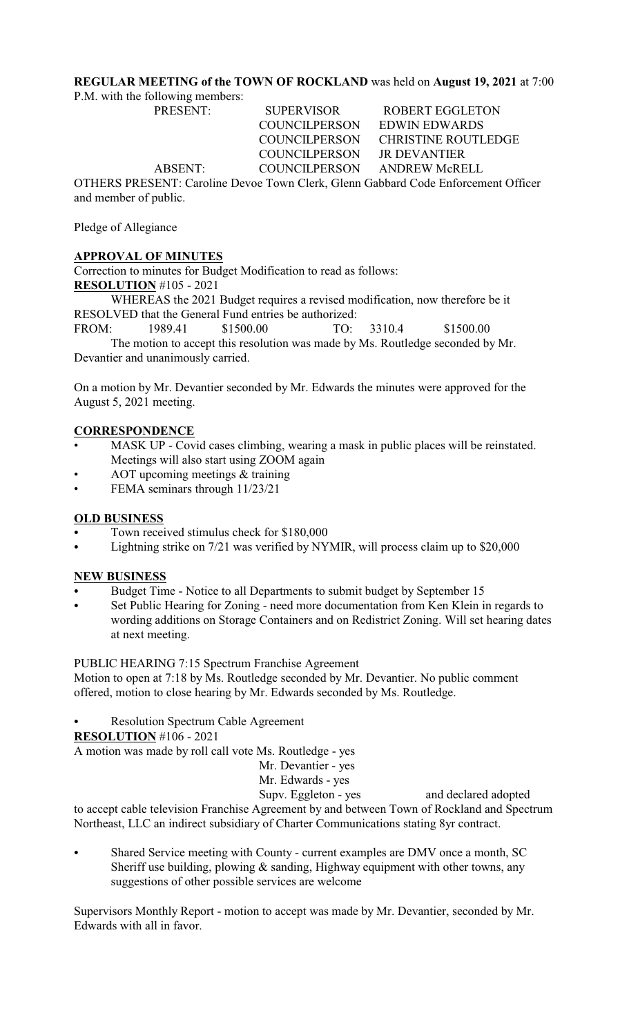# **REGULAR MEETING of the TOWN OF ROCKLAND** was held on **August 19, 2021** at 7:00

P.M. with the following members:

PRESENT: SUPERVISOR ROBERT EGGLETON COUNCILPERSON EDWIN EDWARDS COUNCILPERSON CHRISTINE ROUTLEDGE COUNCILPERSON JR DEVANTIER ABSENT: COUNCILPERSON ANDREW McRELL OTHERS PRESENT: Caroline Devoe Town Clerk, Glenn Gabbard Code Enforcement Officer

and member of public.

# Pledge of Allegiance

# **APPROVAL OF MINUTES**

Correction to minutes for Budget Modification to read as follows: **RESOLUTION** #105 - 2021

WHEREAS the 2021 Budget requires a revised modification, now therefore be it RESOLVED that the General Fund entries be authorized:

FROM: 1989.41 \$1500.00 TO: 3310.4 \$1500.00 The motion to accept this resolution was made by Ms. Routledge seconded by Mr. Devantier and unanimously carried.

On a motion by Mr. Devantier seconded by Mr. Edwards the minutes were approved for the August 5, 2021 meeting.

## **CORRESPONDENCE**

- MASK UP Covid cases climbing, wearing a mask in public places will be reinstated. Meetings will also start using ZOOM again
- AOT upcoming meetings & training
- FEMA seminars through 11/23/21

## **OLD BUSINESS**

- Town received stimulus check for \$180,000
- Lightning strike on 7/21 was verified by NYMIR, will process claim up to \$20,000

#### **NEW BUSINESS**

- Budget Time Notice to all Departments to submit budget by September 15
- Set Public Hearing for Zoning need more documentation from Ken Klein in regards to wording additions on Storage Containers and on Redistrict Zoning. Will set hearing dates at next meeting.

#### PUBLIC HEARING 7:15 Spectrum Franchise Agreement

Motion to open at 7:18 by Ms. Routledge seconded by Mr. Devantier. No public comment offered, motion to close hearing by Mr. Edwards seconded by Ms. Routledge.

Resolution Spectrum Cable Agreement

**RESOLUTION** #106 - 2021

A motion was made by roll call vote Ms. Routledge - yes

Mr. Devantier - yes

Mr. Edwards - yes

Supv. Eggleton - yes and declared adopted to accept cable television Franchise Agreement by and between Town of Rockland and Spectrum Northeast, LLC an indirect subsidiary of Charter Communications stating 8yr contract.

Shared Service meeting with County - current examples are DMV once a month, SC Sheriff use building, plowing  $\&$  sanding, Highway equipment with other towns, any suggestions of other possible services are welcome

Supervisors Monthly Report - motion to accept was made by Mr. Devantier, seconded by Mr. Edwards with all in favor.